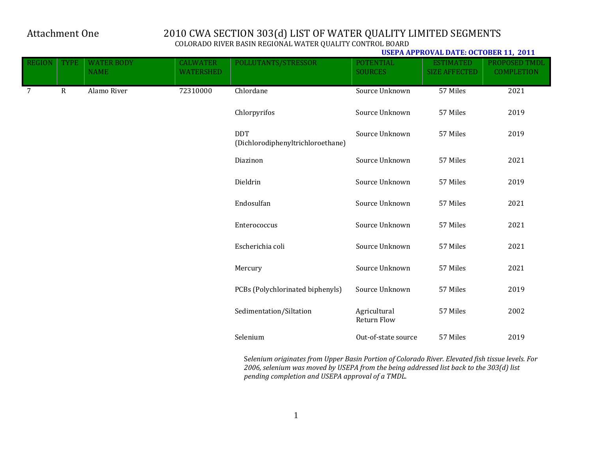**USEPA APPROVAL DATE: OCTOBER 11, 2011**

| <b>REGION</b>   | <b>TYPE</b> | <b>WATER BODY</b><br><b>NAME</b> | <b>CALWATER</b><br><b>WATERSHED</b> | POLLUTANTS/STRESSOR                             | <b>POTENTIAL</b><br><b>SOURCES</b> | <b>ESTIMATED</b><br><b>SIZE AFFECTED</b> | PROPOSED TMDL<br><b>COMPLETION</b> |
|-----------------|-------------|----------------------------------|-------------------------------------|-------------------------------------------------|------------------------------------|------------------------------------------|------------------------------------|
| $7\overline{ }$ | ${\bf R}$   | Alamo River                      | 72310000                            | Chlordane                                       | Source Unknown                     | 57 Miles                                 | 2021                               |
|                 |             |                                  |                                     | Chlorpyrifos                                    | Source Unknown                     | 57 Miles                                 | 2019                               |
|                 |             |                                  |                                     | <b>DDT</b><br>(Dichlorodiphenyltrichloroethane) | Source Unknown                     | 57 Miles                                 | 2019                               |
|                 |             |                                  |                                     | Diazinon                                        | Source Unknown                     | 57 Miles                                 | 2021                               |
|                 |             |                                  |                                     | Dieldrin                                        | Source Unknown                     | 57 Miles                                 | 2019                               |
|                 |             |                                  |                                     | Endosulfan                                      | Source Unknown                     | 57 Miles                                 | 2021                               |
|                 |             |                                  |                                     | Enterococcus                                    | Source Unknown                     | 57 Miles                                 | 2021                               |
|                 |             |                                  |                                     | Escherichia coli                                | Source Unknown                     | 57 Miles                                 | 2021                               |
|                 |             |                                  |                                     | Mercury                                         | Source Unknown                     | 57 Miles                                 | 2021                               |
|                 |             |                                  |                                     | PCBs (Polychlorinated biphenyls)                | Source Unknown                     | 57 Miles                                 | 2019                               |
|                 |             |                                  |                                     | Sedimentation/Siltation                         | Agricultural<br>Return Flow        | 57 Miles                                 | 2002                               |
|                 |             |                                  |                                     | Selenium                                        | Out-of-state source                | 57 Miles                                 | 2019                               |

 S*elenium originates from Upper Basin Portion of Colorado River. Elevated fish tissue levels. For 2006, selenium was moved by USEPA from the being addressed list back to the 303(d) list pending completion and USEPA approval of <sup>a</sup> TMDL.*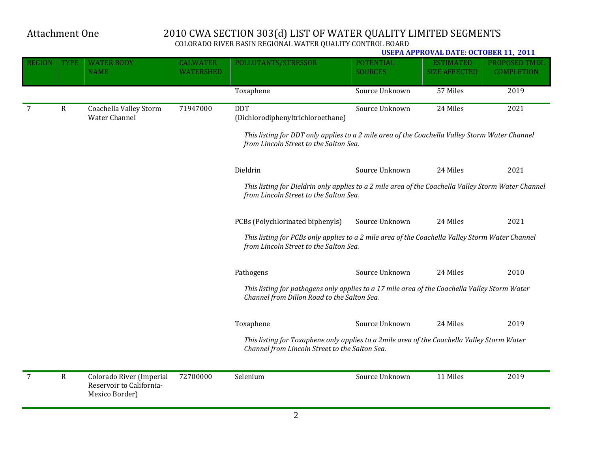|               |              |                                                                        |                                     |                                                                                                                                               |                                    | <b>USEPA APPROVAL DATE: OCTOBER 11, 2011</b> |                                    |
|---------------|--------------|------------------------------------------------------------------------|-------------------------------------|-----------------------------------------------------------------------------------------------------------------------------------------------|------------------------------------|----------------------------------------------|------------------------------------|
| <b>REGION</b> | <b>TYPE</b>  | <b>WATER BODY</b><br><b>NAME</b>                                       | <b>CALWATER</b><br><b>WATERSHED</b> | POLLUTANTS/STRESSOR                                                                                                                           | <b>POTENTIAL</b><br><b>SOURCES</b> | <b>ESTIMATED</b><br><b>SIZE AFFECTED</b>     | PROPOSED TMDL<br><b>COMPLETION</b> |
|               |              |                                                                        |                                     | Toxaphene                                                                                                                                     | Source Unknown                     | 57 Miles                                     | 2019                               |
| 7             | $\mathbb{R}$ | Coachella Valley Storm<br>Water Channel                                | 71947000                            | <b>DDT</b><br>(Dichlorodiphenyltrichloroethane)                                                                                               | Source Unknown                     | 24 Miles                                     | 2021                               |
|               |              |                                                                        |                                     | This listing for DDT only applies to a 2 mile area of the Coachella Valley Storm Water Channel<br>from Lincoln Street to the Salton Sea.      |                                    |                                              |                                    |
|               |              |                                                                        |                                     | Dieldrin                                                                                                                                      | Source Unknown                     | 24 Miles                                     | 2021                               |
|               |              |                                                                        |                                     | This listing for Dieldrin only applies to a 2 mile area of the Coachella Valley Storm Water Channel<br>from Lincoln Street to the Salton Sea. |                                    |                                              |                                    |
|               |              |                                                                        |                                     | PCBs (Polychlorinated biphenyls)                                                                                                              | Source Unknown                     | 24 Miles                                     | 2021                               |
|               |              |                                                                        |                                     | This listing for PCBs only applies to a 2 mile area of the Coachella Valley Storm Water Channel<br>from Lincoln Street to the Salton Sea.     |                                    |                                              |                                    |
|               |              |                                                                        |                                     | Pathogens                                                                                                                                     | Source Unknown                     | 24 Miles                                     | 2010                               |
|               |              |                                                                        |                                     | This listing for pathogens only applies to a 17 mile area of the Coachella Valley Storm Water<br>Channel from Dillon Road to the Salton Sea.  |                                    |                                              |                                    |
|               |              |                                                                        |                                     | Toxaphene                                                                                                                                     | Source Unknown                     | 24 Miles                                     | 2019                               |
|               |              |                                                                        |                                     | This listing for Toxaphene only applies to a 2mile area of the Coachella Valley Storm Water<br>Channel from Lincoln Street to the Salton Sea. |                                    |                                              |                                    |
| 7             | ${\bf R}$    | Colorado River (Imperial<br>Reservoir to California-<br>Mexico Border) | 72700000                            | Selenium                                                                                                                                      | Source Unknown                     | 11 Miles                                     | 2019                               |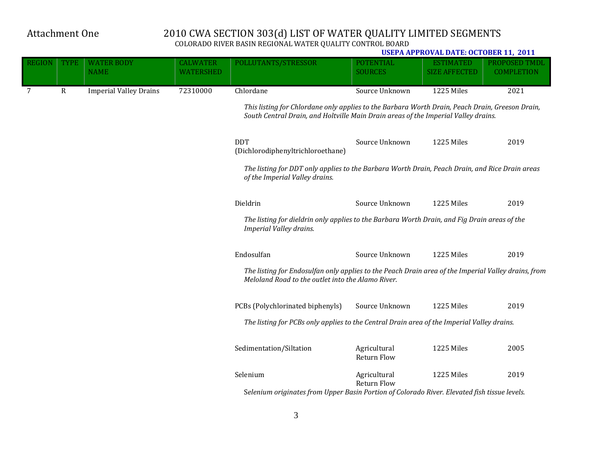**USEPA APPROVAL DATE: OCTOBER 11, 2011** REGION | TYPE | WATER BODY NAME CALWATER WATERSHED POLLUTANTS/STRESSOR POTENTIAL SOURCES ESTIMATED SIZE AFFECTED PROPOSED TMDL COMPLETION 7 R Imperial Valley Drains 72310000 Chlordane Source Unknown 1225 Miles 2021 *This listing for Chlordane only applies to the Barbara Worth Drain, Peach Drain, Greeson Drain, South Central Drain, and Holtville Main Drain areas of the Imperial Valley drains.* DDT (Dichlorodiphenyltrichloroethane) Source Unknown 1225 Miles 2019 *The listing for DDT only applies to the Barbara Worth Drain, Peach Drain, and Rice Drain areas of the Imperial Valley drains.* Dieldrin Source Unknown 1225 Miles 2019 *The listing for dieldrin only applies to the Barbara Worth Drain, and Fig Drain areas of the Imperial Valley drains.* Endosulfan **Source Unknown** 1225 Miles 2019 The listing for Endosulfan only applies to the Peach Drain area of the Imperial Valley drains, from *Meloland Road to the outlet into the Alamo River.* PCBs (Polychlorinated biphenyls) Source Unknown 1225 Miles 2019 *The listing for PCBs only applies to the Central Drain area of the Imperial Valley drains.* Sedimentation/Siltation Agricultural Return Flow 1225 Miles 2005 Selenium Agricultural **Return Flow** 1225 Miles 2019 S*elenium originates from Upper Basin Portion of Colorado River. Elevated fish tissue levels.*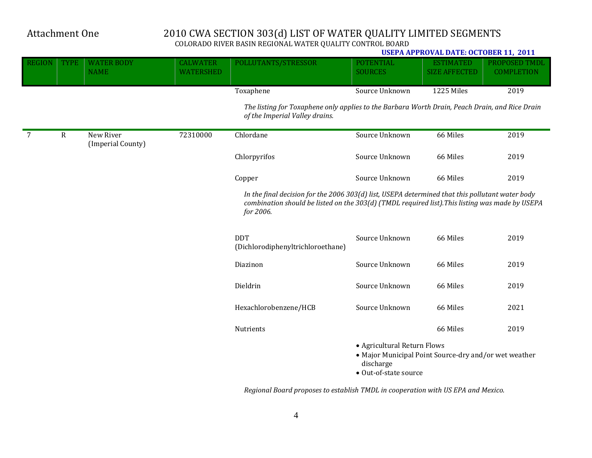**USEPA APPROVAL DATE: OCTOBER 11, 2011** REGION | TYPE | WATER BODY **NAME** CALWATER **WATERSHED** POLLUTANTS/STRESSOR POTENTIAL SOURCES ESTIMATED SIZE AFFECTED PROPOSED TMDL COMPLETION Toxaphene Source Unknown 1225 Miles 2019 *The listing for Toxaphene only applies to the Barbara Worth Drain, Peach Drain, and Rice Drain of the Imperial Valley drains.* 7 R New River (Imperial County) 72310000 Chlordane Source Unknown 66 Miles 2019 Chlorpyrifos Source Unknown 66 Miles 2019 Copper Source Unknown 66 Miles 2019 *In the final decision for the 2006 303(d) list, USEPA determined that this pollutant water body combination should be listed on the 303(d) (TMDL required list).This listing was made by USEPA for 2006.* DDT (Dichlorodiphenyltrichloroethane) Source Unknown 66 Miles 2019 Diazinon **Source Unknown** 66 Miles 2019 Dieldrin Source Unknown 66 Miles 2019 Hexachlorobenzene/HCB Source Unknown 66 Miles 2021 Nutrients **Nutrients 12019**  $\bullet$  Agricultural Return Flows

- Major Municipal Point Source-dry and/or wet weather discharge
- Out-of-state source

*Regional Board proposes to establish TMDL in cooperation with US EPA and Mexico.*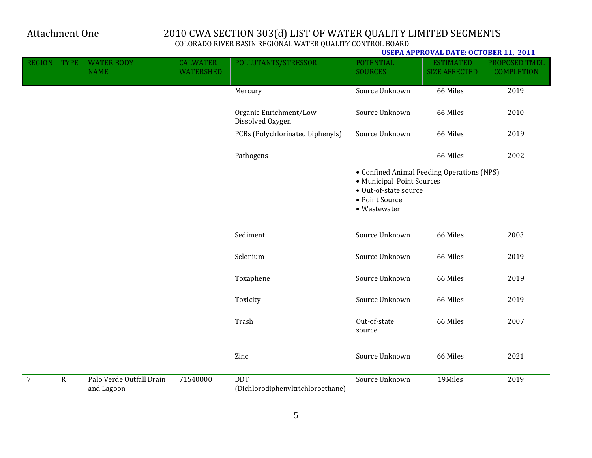|                |             |                                        |                                     |                                                 |                                                                                                                                    | USEPA APPROVAL DATE: OCTOBER 11, 2011    |                                    |
|----------------|-------------|----------------------------------------|-------------------------------------|-------------------------------------------------|------------------------------------------------------------------------------------------------------------------------------------|------------------------------------------|------------------------------------|
| <b>REGION</b>  | <b>TYPE</b> | <b>WATER BODY</b><br><b>NAME</b>       | <b>CALWATER</b><br><b>WATERSHED</b> | POLLUTANTS/STRESSOR                             | <b>POTENTIAL</b><br><b>SOURCES</b>                                                                                                 | <b>ESTIMATED</b><br><b>SIZE AFFECTED</b> | PROPOSED TMDL<br><b>COMPLETION</b> |
|                |             |                                        |                                     | Mercury                                         | Source Unknown                                                                                                                     | 66 Miles                                 | 2019                               |
|                |             |                                        |                                     | Organic Enrichment/Low<br>Dissolved Oxygen      | Source Unknown                                                                                                                     | 66 Miles                                 | 2010                               |
|                |             |                                        |                                     | PCBs (Polychlorinated biphenyls)                | Source Unknown                                                                                                                     | 66 Miles                                 | 2019                               |
|                |             |                                        |                                     | Pathogens                                       |                                                                                                                                    | 66 Miles                                 | 2002                               |
|                |             |                                        |                                     |                                                 | • Confined Animal Feeding Operations (NPS)<br>• Municipal Point Sources<br>• Out-of-state source<br>• Point Source<br>· Wastewater |                                          |                                    |
|                |             |                                        |                                     | Sediment                                        | Source Unknown                                                                                                                     | 66 Miles                                 | 2003                               |
|                |             |                                        |                                     | Selenium                                        | Source Unknown                                                                                                                     | 66 Miles                                 | 2019                               |
|                |             |                                        |                                     | Toxaphene                                       | Source Unknown                                                                                                                     | 66 Miles                                 | 2019                               |
|                |             |                                        |                                     | Toxicity                                        | Source Unknown                                                                                                                     | 66 Miles                                 | 2019                               |
|                |             |                                        |                                     | Trash                                           | Out-of-state<br>source                                                                                                             | 66 Miles                                 | 2007                               |
|                |             |                                        |                                     | Zinc                                            | Source Unknown                                                                                                                     | 66 Miles                                 | 2021                               |
| $\overline{7}$ | ${\bf R}$   | Palo Verde Outfall Drain<br>and Lagoon | 71540000                            | <b>DDT</b><br>(Dichlorodiphenyltrichloroethane) | Source Unknown                                                                                                                     | 19Miles                                  | 2019                               |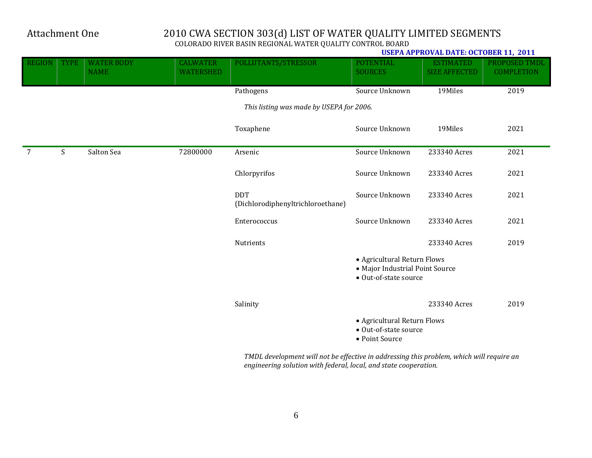#### **USEPA APPROVAL DATE: OCTOBER 11, 2011**

| <b>REGION</b> | <b>TYPE</b> | <b>WATER BODY</b><br><b>NAME</b> | <b>CALWATER</b><br><b>WATERSHED</b> | POLLUTANTS/STRESSOR                             | <b>POTENTIAL</b><br><b>SOURCES</b>                                                      | <b>ESTIMATED</b><br><b>SIZE AFFECTED</b> | PROPOSED TMDL<br><b>COMPLETION</b> |
|---------------|-------------|----------------------------------|-------------------------------------|-------------------------------------------------|-----------------------------------------------------------------------------------------|------------------------------------------|------------------------------------|
|               |             |                                  |                                     | Pathogens                                       | Source Unknown                                                                          | 19Miles                                  | 2019                               |
|               |             |                                  |                                     | This listing was made by USEPA for 2006.        |                                                                                         |                                          |                                    |
|               |             |                                  |                                     | Toxaphene                                       | Source Unknown                                                                          | 19Miles                                  | 2021                               |
| 7             | S           | Salton Sea                       | 72800000                            | Arsenic                                         | Source Unknown                                                                          | 233340 Acres                             | 2021                               |
|               |             |                                  |                                     | Chlorpyrifos                                    | Source Unknown                                                                          | 233340 Acres                             | 2021                               |
|               |             |                                  |                                     | <b>DDT</b><br>(Dichlorodiphenyltrichloroethane) | Source Unknown                                                                          | 233340 Acres                             | 2021                               |
|               |             |                                  |                                     | Enterococcus                                    | Source Unknown                                                                          | 233340 Acres                             | 2021                               |
|               |             |                                  |                                     | Nutrients                                       |                                                                                         | 233340 Acres                             | 2019                               |
|               |             |                                  |                                     |                                                 | • Agricultural Return Flows<br>• Major Industrial Point Source<br>• Out-of-state source |                                          |                                    |
|               |             |                                  |                                     | Salinity                                        |                                                                                         | 233340 Acres                             | 2019                               |
|               |             |                                  |                                     |                                                 | • Agricultural Return Flows<br>• Out-of-state source<br>• Point Source                  |                                          |                                    |

*TMDL development will not be effective in addressing this problem, which will require an engineering solution with federal, local, and state cooperation.*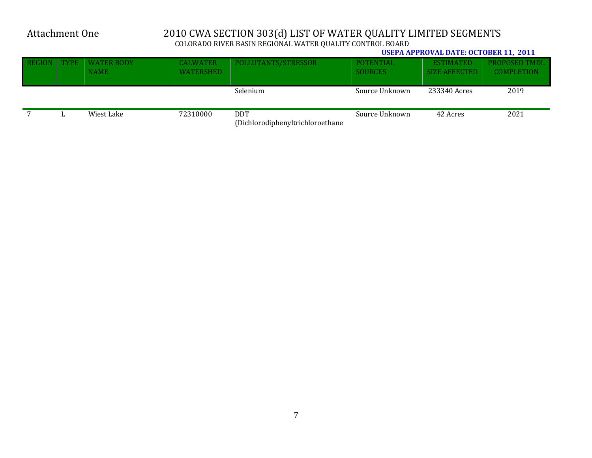**USEPA APPROVAL DATE: OCTOBER 11, 2011**

| REGION | <b>TYPE</b> | <b>WATER BODY</b><br><b>NAME</b> | <b>CALWATER</b><br><b>WATERSHED</b> | POLLUTANTS/STRESSOR                            | POTENTIAL<br><b>SOURCES</b> | <b>ESTIMATED</b><br><b>SIZE AFFECTED</b> | PROPOSED TMDL<br><b>COMPLETION</b> |
|--------|-------------|----------------------------------|-------------------------------------|------------------------------------------------|-----------------------------|------------------------------------------|------------------------------------|
|        |             |                                  |                                     | Selenium                                       | Source Unknown              | 233340 Acres                             | 2019                               |
|        |             | Wiest Lake                       | 72310000                            | <b>DDT</b><br>(Dichlorodiphenyltrichloroethane | Source Unknown              | 42 Acres                                 | 2021                               |